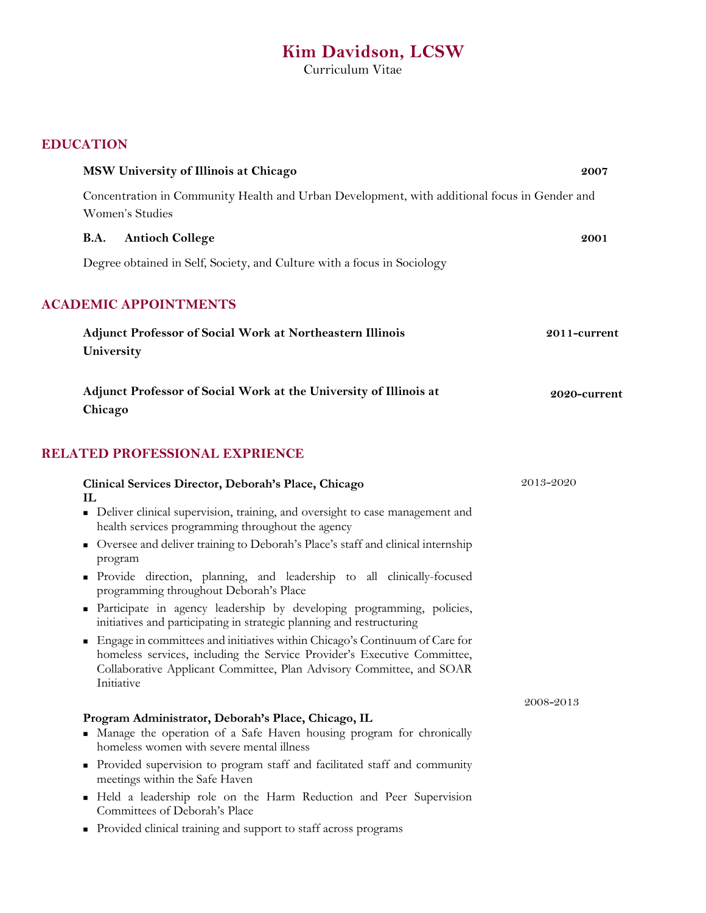# **Kim Davidson, LCSW**

Curriculum Vitae

| <b>EDUCATION</b> |  |
|------------------|--|
|------------------|--|

| MSW University of Illinois at Chicago                                                                                                                                                                                                           | 2007         |
|-------------------------------------------------------------------------------------------------------------------------------------------------------------------------------------------------------------------------------------------------|--------------|
| Concentration in Community Health and Urban Development, with additional focus in Gender and<br>Women's Studies                                                                                                                                 |              |
| <b>B.A.</b><br><b>Antioch College</b>                                                                                                                                                                                                           | 2001         |
| Degree obtained in Self, Society, and Culture with a focus in Sociology                                                                                                                                                                         |              |
| <b>ACADEMIC APPOINTMENTS</b>                                                                                                                                                                                                                    |              |
| <b>Adjunct Professor of Social Work at Northeastern Illinois</b><br>University                                                                                                                                                                  | 2011-current |
| Adjunct Professor of Social Work at the University of Illinois at<br>Chicago                                                                                                                                                                    | 2020-current |
| RELATED PROFESSIONAL EXPRIENCE                                                                                                                                                                                                                  |              |
| Clinical Services Director, Deborah's Place, Chicago<br>IL                                                                                                                                                                                      | 2013-2020    |
| • Deliver clinical supervision, training, and oversight to case management and<br>health services programming throughout the agency                                                                                                             |              |
| • Oversee and deliver training to Deborah's Place's staff and clinical internship<br>program                                                                                                                                                    |              |
| • Provide direction, planning, and leadership to all clinically-focused<br>programming throughout Deborah's Place                                                                                                                               |              |
| Participate in agency leadership by developing programming, policies,<br>initiatives and participating in strategic planning and restructuring                                                                                                  |              |
| • Engage in committees and initiatives within Chicago's Continuum of Care for<br>homeless services, including the Service Provider's Executive Committee,<br>Collaborative Applicant Committee, Plan Advisory Committee, and SOAR<br>Initiative |              |
|                                                                                                                                                                                                                                                 | 2008–2013    |
| Program Administrator, Deborah's Place, Chicago, IL<br>Manage the operation of a Safe Haven housing program for chronically<br>homeless women with severe mental illness                                                                        |              |
| • Provided supervision to program staff and facilitated staff and community<br>meetings within the Safe Haven                                                                                                                                   |              |
| Held a leadership role on the Harm Reduction and Peer Supervision<br>٠<br>Committees of Deborah's Place                                                                                                                                         |              |
| Provided clinical training and support to staff across programs<br>٠                                                                                                                                                                            |              |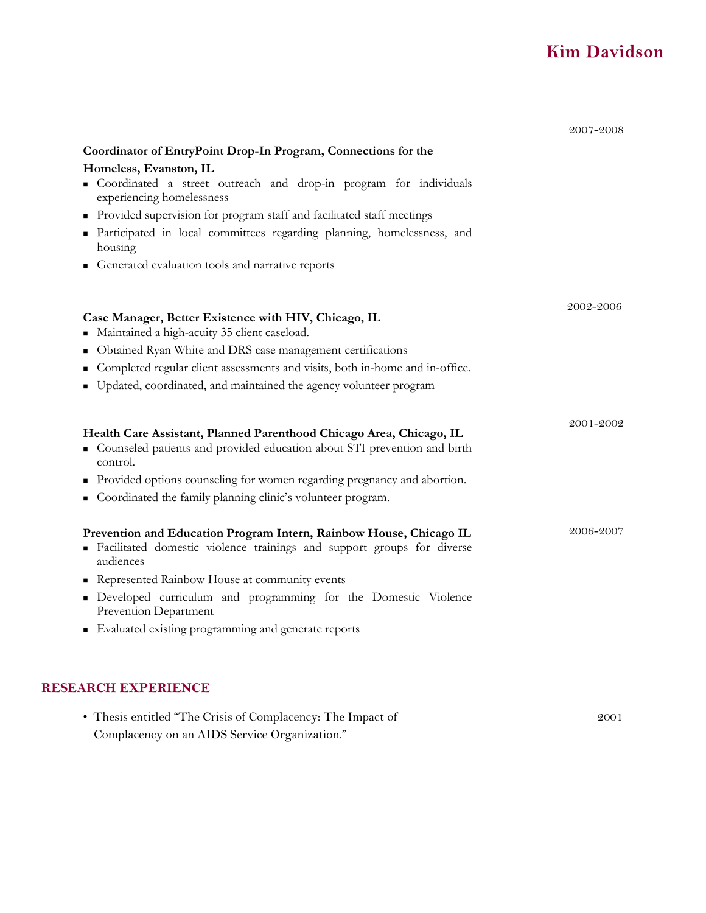# **Kim Davidson**

|   | Homeless, Evanston, IL                                                                                                                                        |                        |
|---|---------------------------------------------------------------------------------------------------------------------------------------------------------------|------------------------|
|   | • Coordinated a street outreach and drop-in program for individuals<br>experiencing homelessness                                                              |                        |
|   | • Provided supervision for program staff and facilitated staff meetings                                                                                       |                        |
|   | Participated in local committees regarding planning, homelessness, and<br>housing                                                                             |                        |
|   | Generated evaluation tools and narrative reports                                                                                                              |                        |
|   |                                                                                                                                                               | 2002-2006              |
|   | Case Manager, Better Existence with HIV, Chicago, IL<br>• Maintained a high-acuity 35 client caseload.                                                        |                        |
|   | Obtained Ryan White and DRS case management certifications                                                                                                    |                        |
|   | Completed regular client assessments and visits, both in-home and in-office.                                                                                  |                        |
|   |                                                                                                                                                               |                        |
| ٠ | Updated, coordinated, and maintained the agency volunteer program                                                                                             |                        |
|   | Health Care Assistant, Planned Parenthood Chicago Area, Chicago, IL<br>• Counseled patients and provided education about STI prevention and birth<br>control. |                        |
|   | Provided options counseling for women regarding pregnancy and abortion.                                                                                       |                        |
|   | Coordinated the family planning clinic's volunteer program.                                                                                                   |                        |
|   | Prevention and Education Program Intern, Rainbow House, Chicago IL<br>· Facilitated domestic violence trainings and support groups for diverse<br>audiences   |                        |
|   | Represented Rainbow House at community events                                                                                                                 | 2001-2002<br>2006-2007 |
| ٠ | Developed curriculum and programming for the Domestic Violence<br>Prevention Department                                                                       |                        |

| • Thesis entitled "The Crisis of Complacency: The Impact of | 2001 |
|-------------------------------------------------------------|------|
| Complacency on an AIDS Service Organization."               |      |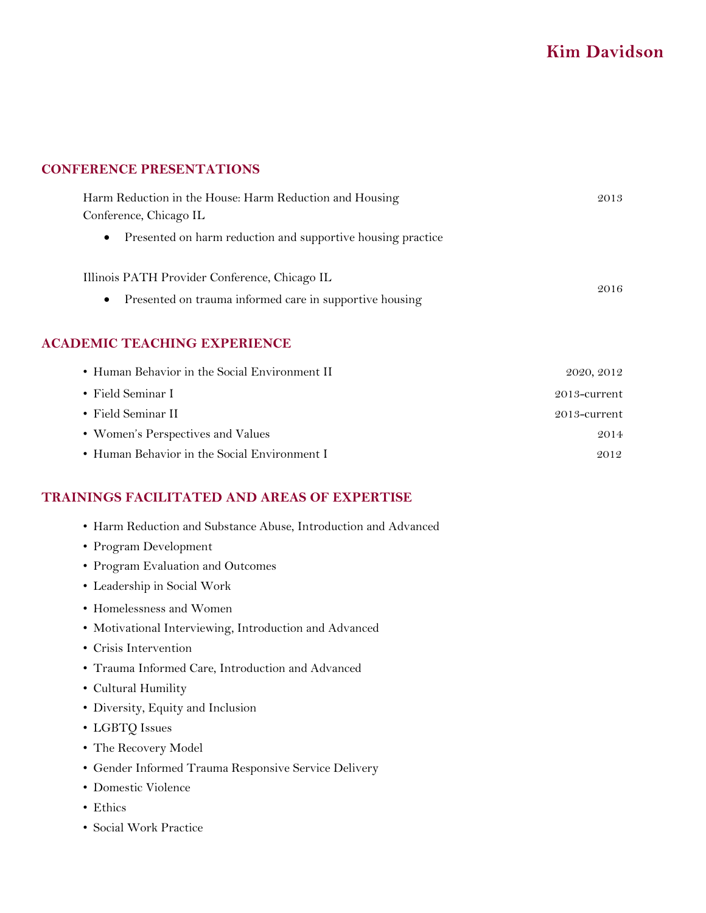# **Kim Davidson**

#### **CONFERENCE PRESENTATIONS**

| Harm Reduction in the House: Harm Reduction and Housing              | 2013 |
|----------------------------------------------------------------------|------|
| Conference, Chicago IL                                               |      |
| • Presented on harm reduction and supportive housing practice        |      |
| Illinois PATH Provider Conference, Chicago IL                        |      |
| Presented on trauma informed care in supportive housing<br>$\bullet$ | 2016 |

### **ACADEMIC TEACHING EXPERIENCE**

| • Human Behavior in the Social Environment II | 2020, 2012   |
|-----------------------------------------------|--------------|
| • Field Seminar I                             | 2013-current |
| • Field Seminar II                            | 2013-current |
| • Women's Perspectives and Values             | 2014         |
| • Human Behavior in the Social Environment I  | 2012         |

### **TRAININGS FACILITATED AND AREAS OF EXPERTISE**

- Harm Reduction and Substance Abuse, Introduction and Advanced
- Program Development
- Program Evaluation and Outcomes
- Leadership in Social Work
- Homelessness and Women
- Motivational Interviewing, Introduction and Advanced
- Crisis Intervention
- Trauma Informed Care, Introduction and Advanced
- Cultural Humility
- Diversity, Equity and Inclusion
- LGBTQ Issues
- The Recovery Model
- Gender Informed Trauma Responsive Service Delivery
- Domestic Violence
- Ethics
- Social Work Practice